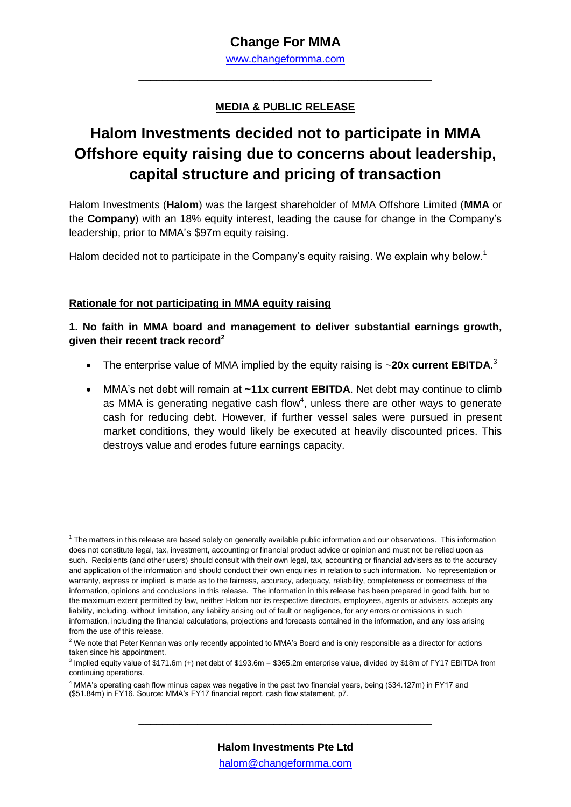## **Change For MMA**

[www.changeformma.com](http://www.changeformma.com/) \_\_\_\_\_\_\_\_\_\_\_\_\_\_\_\_\_\_\_\_\_\_\_\_\_\_\_\_\_\_\_\_\_\_\_\_\_\_\_\_\_\_\_\_\_\_\_\_\_\_

### **MEDIA & PUBLIC RELEASE**

# **Halom Investments decided not to participate in MMA Offshore equity raising due to concerns about leadership, capital structure and pricing of transaction**

Halom Investments (**Halom**) was the largest shareholder of MMA Offshore Limited (**MMA** or the **Company**) with an 18% equity interest, leading the cause for change in the Company's leadership, prior to MMA's \$97m equity raising.

Halom decided not to participate in the Company's equity raising. We explain why below.<sup>1</sup>

#### **Rationale for not participating in MMA equity raising**

**.** 

**1. No faith in MMA board and management to deliver substantial earnings growth, given their recent track record<sup>2</sup>**

- The enterprise value of MMA implied by the equity raising is ~20x current EBITDA.<sup>3</sup>
- MMA's net debt will remain at ~**11x current EBITDA**. Net debt may continue to climb as MMA is generating negative cash flow<sup>4</sup>, unless there are other ways to generate cash for reducing debt. However, if further vessel sales were pursued in present market conditions, they would likely be executed at heavily discounted prices. This destroys value and erodes future earnings capacity.

<sup>&</sup>lt;sup>1</sup> The matters in this release are based solely on generally available public information and our observations. This information does not constitute legal, tax, investment, accounting or financial product advice or opinion and must not be relied upon as such. Recipients (and other users) should consult with their own legal, tax, accounting or financial advisers as to the accuracy and application of the information and should conduct their own enquiries in relation to such information. No representation or warranty, express or implied, is made as to the fairness, accuracy, adequacy, reliability, completeness or correctness of the information, opinions and conclusions in this release. The information in this release has been prepared in good faith, but to the maximum extent permitted by law, neither Halom nor its respective directors, employees, agents or advisers, accepts any liability, including, without limitation, any liability arising out of fault or negligence, for any errors or omissions in such information, including the financial calculations, projections and forecasts contained in the information, and any loss arising from the use of this release.

 $2$  We note that Peter Kennan was only recently appointed to MMA's Board and is only responsible as a director for actions taken since his appointment.

<sup>3</sup> Implied equity value of \$171.6m (+) net debt of \$193.6m = \$365.2m enterprise value, divided by \$18m of FY17 EBITDA from continuing operations.

<sup>4</sup> MMA's operating cash flow minus capex was negative in the past two financial years, being (\$34.127m) in FY17 and (\$51.84m) in FY16. Source: MMA's FY17 financial report, cash flow statement, p7.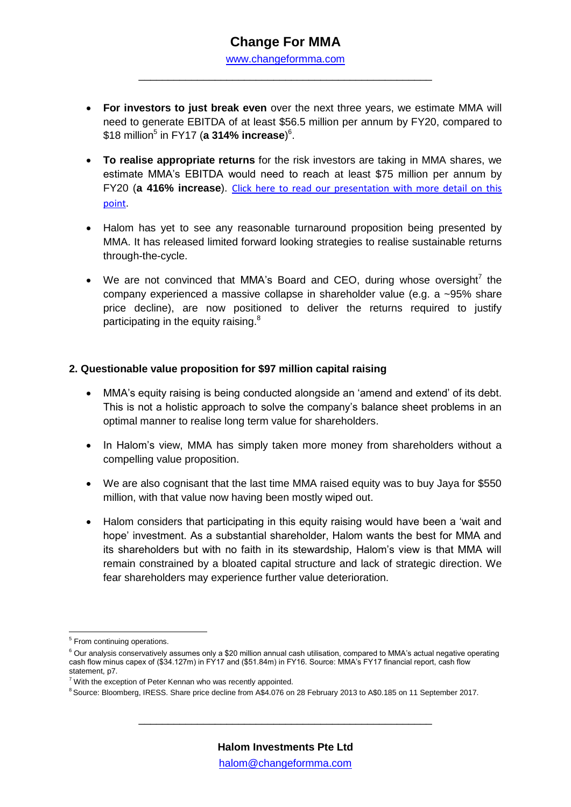## **Change For MMA**

[www.changeformma.com](http://www.changeformma.com/) \_\_\_\_\_\_\_\_\_\_\_\_\_\_\_\_\_\_\_\_\_\_\_\_\_\_\_\_\_\_\_\_\_\_\_\_\_\_\_\_\_\_\_\_\_\_\_\_\_\_

- **For investors to just break even** over the next three years, we estimate MMA will need to generate EBITDA of at least \$56.5 million per annum by FY20, compared to \$18 million<sup>5</sup> in FY17 (**a 314% increase**) 6 .
- **To realise appropriate returns** for the risk investors are taking in MMA shares, we estimate MMA's EBITDA would need to reach at least \$75 million per annum by FY20 (**a 416% increase**). [Click here to read our presentation with more detail on this](https://docs.wixstatic.com/ugd/53fecf_b8a806a731f5425f81835bd069bddd76.pdf)  [point](https://docs.wixstatic.com/ugd/53fecf_b8a806a731f5425f81835bd069bddd76.pdf).
- Halom has yet to see any reasonable turnaround proposition being presented by MMA. It has released limited forward looking strategies to realise sustainable returns through-the-cycle.
- We are not convinced that MMA's Board and CEO, during whose oversight<sup>7</sup> the company experienced a massive collapse in shareholder value (e.g. a ~95% share price decline), are now positioned to deliver the returns required to justify participating in the equity raising. $8$

#### **2. Questionable value proposition for \$97 million capital raising**

- MMA's equity raising is being conducted alongside an 'amend and extend' of its debt. This is not a holistic approach to solve the company's balance sheet problems in an optimal manner to realise long term value for shareholders.
- In Halom's view, MMA has simply taken more money from shareholders without a compelling value proposition.
- We are also cognisant that the last time MMA raised equity was to buy Jaya for \$550 million, with that value now having been mostly wiped out.
- Halom considers that participating in this equity raising would have been a 'wait and hope' investment. As a substantial shareholder, Halom wants the best for MMA and its shareholders but with no faith in its stewardship, Halom's view is that MMA will remain constrained by a bloated capital structure and lack of strategic direction. We fear shareholders may experience further value deterioration.

1

<sup>&</sup>lt;sup>5</sup> From continuing operations.

<sup>&</sup>lt;sup>6</sup> Our analysis conservatively assumes only a \$20 million annual cash utilisation, compared to MMA's actual negative operating cash flow minus capex of (\$34.127m) in FY17 and (\$51.84m) in FY16. Source: MMA's FY17 financial report, cash flow statement, p7.

 $7$  With the exception of Peter Kennan who was recently appointed.

<sup>&</sup>lt;sup>8</sup> Source: Bloomberg, IRESS. Share price decline from A\$4.076 on 28 February 2013 to A\$0.185 on 11 September 2017.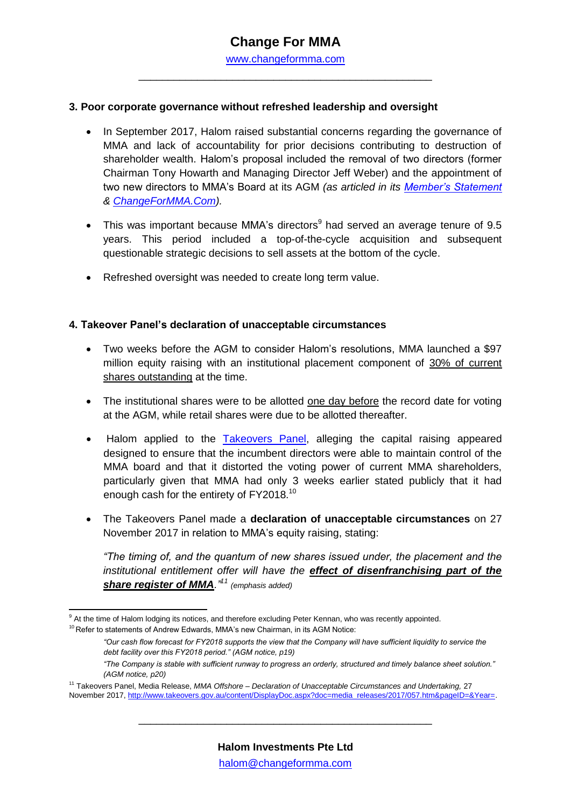\_\_\_\_\_\_\_\_\_\_\_\_\_\_\_\_\_\_\_\_\_\_\_\_\_\_\_\_\_\_\_\_\_\_\_\_\_\_\_\_\_\_\_\_\_\_\_\_\_\_

#### **3. Poor corporate governance without refreshed leadership and oversight**

- In September 2017, Halom raised substantial concerns regarding the governance of MMA and lack of accountability for prior decisions contributing to destruction of shareholder wealth. Halom's proposal included the removal of two directors (former Chairman Tony Howarth and Managing Director Jeff Weber) and the appointment of two new directors to MMA's Board at its AGM *(as articled in its [Member's Statement](https://docs.wixstatic.com/ugd/53fecf_c351985df2364396b1f881b01e9156b1.pdf) & [ChangeForMMA.Com\)](http://www.changeformma.com/).*
- This was important because MMA's directors<sup>9</sup> had served an average tenure of 9.5 years. This period included a top-of-the-cycle acquisition and subsequent questionable strategic decisions to sell assets at the bottom of the cycle.
- Refreshed oversight was needed to create long term value.

#### **4. Takeover Panel's declaration of unacceptable circumstances**

- Two weeks before the AGM to consider Halom's resolutions, MMA launched a \$97 million equity raising with an institutional placement component of 30% of current shares outstanding at the time.
- The institutional shares were to be allotted one day before the record date for voting at the AGM, while retail shares were due to be allotted thereafter.
- Halom applied to the [Takeovers Panel,](http://www.takeovers.gov.au/content/DisplayDoc.aspx?doc=media_releases/2017/057.htm&pageID=&Year=) alleging the capital raising appeared designed to ensure that the incumbent directors were able to maintain control of the MMA board and that it distorted the voting power of current MMA shareholders, particularly given that MMA had only 3 weeks earlier stated publicly that it had enough cash for the entirety of FY2018.<sup>10</sup>
- The Takeovers Panel made a **declaration of unacceptable circumstances** on 27 November 2017 in relation to MMA's equity raising, stating:

*"The timing of, and the quantum of new shares issued under, the placement and the institutional entitlement offer will have the effect of disenfranchising part of the share register of MMA."<sup>11</sup> (emphasis added)*

 $\overline{\phantom{a}}$ <sup>9</sup> At the time of Halom lodging its notices, and therefore excluding Peter Kennan, who was recently appointed.

 $10$  Refer to statements of Andrew Edwards, MMA's new Chairman, in its AGM Notice:

*<sup>&</sup>quot;Our cash flow forecast for FY2018 supports the view that the Company will have sufficient liquidity to service the debt facility over this FY2018 period." (AGM notice, p19)*

*<sup>&</sup>quot;The Company is stable with sufficient runway to progress an orderly, structured and timely balance sheet solution." (AGM notice, p20)*

<sup>11</sup> Takeovers Panel, Media Release, *MMA Offshore – Declaration of Unacceptable Circumstances and Undertaking,* 27 November 2017, http://www.takeovers.gov.au/content/DisplayDoc.aspx?doc=media\_releases/2017/057.htm&pageID=&Year=.